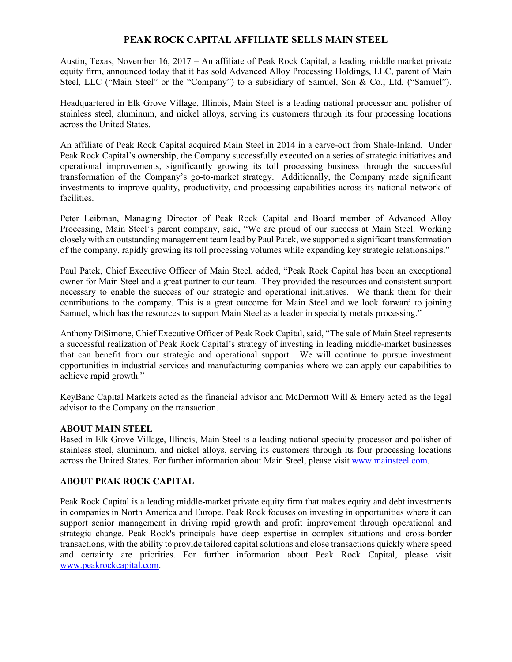## **PEAK ROCK CAPITAL AFFILIATE SELLS MAIN STEEL**

Austin, Texas, November 16, 2017 – An affiliate of Peak Rock Capital, a leading middle market private equity firm, announced today that it has sold Advanced Alloy Processing Holdings, LLC, parent of Main Steel, LLC ("Main Steel" or the "Company") to a subsidiary of Samuel, Son & Co., Ltd. ("Samuel").

Headquartered in Elk Grove Village, Illinois, Main Steel is a leading national processor and polisher of stainless steel, aluminum, and nickel alloys, serving its customers through its four processing locations across the United States.

An affiliate of Peak Rock Capital acquired Main Steel in 2014 in a carve-out from Shale-Inland. Under Peak Rock Capital's ownership, the Company successfully executed on a series of strategic initiatives and operational improvements, significantly growing its toll processing business through the successful transformation of the Company's go-to-market strategy. Additionally, the Company made significant investments to improve quality, productivity, and processing capabilities across its national network of facilities.

Peter Leibman, Managing Director of Peak Rock Capital and Board member of Advanced Alloy Processing, Main Steel's parent company, said, "We are proud of our success at Main Steel. Working closely with an outstanding management team lead by Paul Patek, we supported a significant transformation of the company, rapidly growing its toll processing volumes while expanding key strategic relationships."

Paul Patek, Chief Executive Officer of Main Steel, added, "Peak Rock Capital has been an exceptional owner for Main Steel and a great partner to our team. They provided the resources and consistent support necessary to enable the success of our strategic and operational initiatives. We thank them for their contributions to the company. This is a great outcome for Main Steel and we look forward to joining Samuel, which has the resources to support Main Steel as a leader in specialty metals processing."

Anthony DiSimone, Chief Executive Officer of Peak Rock Capital, said, "The sale of Main Steel represents a successful realization of Peak Rock Capital's strategy of investing in leading middle-market businesses that can benefit from our strategic and operational support. We will continue to pursue investment opportunities in industrial services and manufacturing companies where we can apply our capabilities to achieve rapid growth."

KeyBanc Capital Markets acted as the financial advisor and McDermott Will & Emery acted as the legal advisor to the Company on the transaction.

## **ABOUT MAIN STEEL**

Based in Elk Grove Village, Illinois, Main Steel is a leading national specialty processor and polisher of stainless steel, aluminum, and nickel alloys, serving its customers through its four processing locations across the United States. For further information about Main Steel, please visit www.mainsteel.com.

## **ABOUT PEAK ROCK CAPITAL**

Peak Rock Capital is a leading middle‐market private equity firm that makes equity and debt investments in companies in North America and Europe. Peak Rock focuses on investing in opportunities where it can support senior management in driving rapid growth and profit improvement through operational and strategic change. Peak Rock's principals have deep expertise in complex situations and cross-border transactions, with the ability to provide tailored capital solutions and close transactions quickly where speed and certainty are priorities. For further information about Peak Rock Capital, please visit www.peakrockcapital.com.